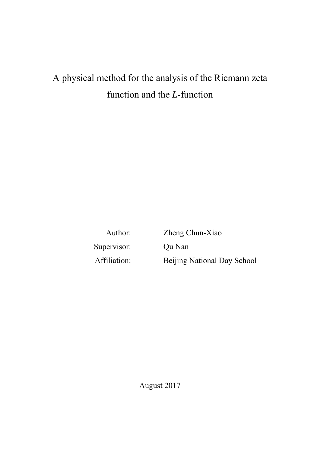# A physical method for the analysis of the Riemann zeta function and the *L*-function

Supervisor: Qu Nan

Author: Zheng Chun-Xiao Affiliation: Beijing National Day School

August 2017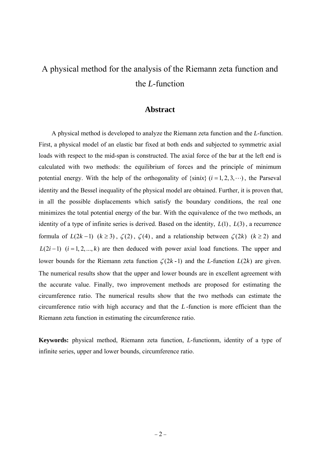# A physical method for the analysis of the Riemann zeta function and the *L*-function

## **Abstract**

A physical method is developed to analyze the Riemann zeta function and the *L*-function. First, a physical model of an elastic bar fixed at both ends and subjected to symmetric axial loads with respect to the mid-span is constructed. The axial force of the bar at the left end is calculated with two methods: the equilibrium of forces and the principle of minimum potential energy. With the help of the orthogonality of  $\{\sin ix\}$   $(i = 1, 2, 3, \cdots)$ , the Parseval identity and the Bessel inequality of the physical model are obtained. Further, it is proven that, in all the possible displacements which satisfy the boundary conditions, the real one minimizes the total potential energy of the bar. With the equivalence of the two methods, an identity of a type of infinite series is derived. Based on the identity,  $L(1)$ ,  $L(3)$ , a recurrence formula of  $L(2k-1)$   $(k \ge 3)$ ,  $\zeta(2)$ ,  $\zeta(4)$ , and a relationship between  $\zeta(2k)$   $(k \ge 2)$  and  $L(2i-1)$   $(i = 1, 2, ..., k)$  are then deduced with power axial load functions. The upper and lower bounds for the Riemann zeta function  $\zeta(2k-1)$  and the *L*-function  $L(2k)$  are given. The numerical results show that the upper and lower bounds are in excellent agreement with the accurate value. Finally, two improvement methods are proposed for estimating the circumference ratio. The numerical results show that the two methods can estimate the circumference ratio with high accuracy and that the *L* -function is more efficient than the Riemann zeta function in estimating the circumference ratio.

**Keywords:** physical method, Riemann zeta function, *L*-functionm, identity of a type of infinite series, upper and lower bounds, circumference ratio.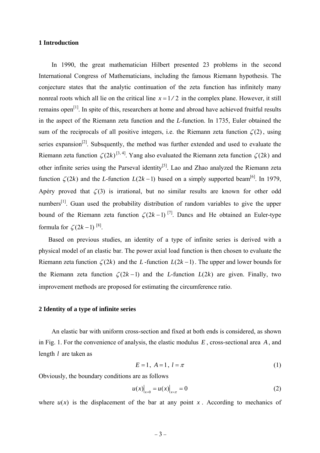#### **1 Introduction**

In 1990, the great mathematician Hilbert presented 23 problems in the second International Congress of Mathematicians, including the famous Riemann hypothesis. The conjecture states that the analytic continuation of the zeta function has infinitely many nonreal roots which all lie on the critical line  $x = 1/2$  in the complex plane. However, it still remains open<sup>[1]</sup>. In spite of this, researchers at home and abroad have achieved fruitful results in the aspect of the Riemann zeta function and the *L*-function. In 1735, Euler obtained the sum of the reciprocals of all positive integers, i.e. the Riemann zeta function  $\zeta(2)$ , using series expansion<sup>[2]</sup>. Subsquently, the method was further extended and used to evaluate the Riemann zeta function  $\zeta(2k)^{3,4]}$ . Yang also evaluated the Riemann zeta function  $\zeta(2k)$  and other infinite series using the Parseval identity<sup>[5]</sup>. Lao and Zhao analyzed the Riemann zeta function  $\zeta(2k)$  and the *L*-function  $L(2k-1)$  based on a simply supported beam<sup>[6]</sup>. In 1979, Apéry proved that  $\zeta(3)$  is irrational, but no similar results are known for other odd numbers<sup>[1]</sup>. Guan used the probability distribution of random variables to give the upper bound of the Riemann zeta function  $\zeta(2k-1)^{7}$ . Dancs and He obtained an Euler-type formula for  $\zeta(2k-1)$  <sup>[8]</sup>.

Based on previous studies, an identity of a type of infinite series is derived with a physical model of an elastic bar. The power axial load function is then chosen to evaluate the Riemann zeta function  $\zeta(2k)$  and the *L*-function  $L(2k-1)$ . The upper and lower bounds for the Riemann zeta function  $\zeta(2k-1)$  and the *L*-function  $L(2k)$  are given. Finally, two improvement methods are proposed for estimating the circumference ratio.

#### **2 Identity of a type of infinite series**

An elastic bar with uniform cross-section and fixed at both ends is considered, as shown in Fig. 1. For the convenience of analysis, the elastic modulus *E* , cross-sectional area *A* , and length *l* are taken as

$$
E = 1, A = 1, l = \pi
$$
 (1)

Obviously, the boundary conditions are as follows

$$
u(x)\Big|_{x=0} = u(x)\Big|_{x=\pi} = 0
$$
 (2)

where  $u(x)$  is the displacement of the bar at any point *x*. According to mechanics of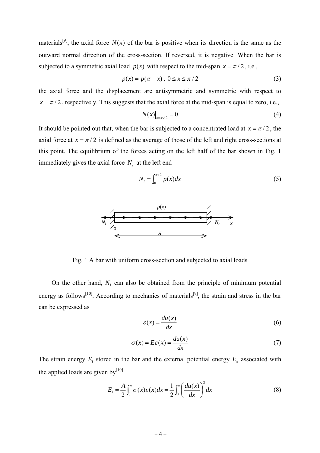materials<sup>[9]</sup>, the axial force  $N(x)$  of the bar is positive when its direction is the same as the outward normal direction of the cross-section. If reversed, it is negative. When the bar is subjected to a symmetric axial load  $p(x)$  with respect to the mid-span  $x = \pi/2$ , i.e.,

$$
p(x) = p(\pi - x), \ 0 \le x \le \pi/2 \tag{3}
$$

the axial force and the displacement are antisymmetric and symmetric with respect to  $x = \pi/2$ , respectively. This suggests that the axial force at the mid-span is equal to zero, i.e.,

$$
N(x)|_{x=\pi/2} = 0 \tag{4}
$$

It should be pointed out that, when the bar is subjected to a concentrated load at  $x = \pi/2$ , the axial force at  $x = \pi/2$  is defined as the average of those of the left and right cross-sections at this point. The equilibrium of the forces acting on the left half of the bar shown in Fig. 1 immediately gives the axial force  $N<sub>l</sub>$  at the left end

$$
N_t = \int_0^{\pi/2} p(x) dx \tag{5}
$$



Fig. 1 A bar with uniform cross-section and subjected to axial loads

On the other hand,  $N_l$  can also be obtained from the principle of minimum potential energy as follows<sup>[10]</sup>. According to mechanics of materials<sup>[9]</sup>, the strain and stress in the bar can be expressed as

$$
\varepsilon(x) = \frac{du(x)}{dx} \tag{6}
$$

$$
\sigma(x) = E\varepsilon(x) = \frac{du(x)}{dx} \tag{7}
$$

The strain energy  $E_i$  stored in the bar and the external potential energy  $E_e$  associated with the applied loads are given by $[10]$ 

$$
E_i = \frac{A}{2} \int_0^{\pi} \sigma(x) \varepsilon(x) dx = \frac{1}{2} \int_0^{\pi} \left( \frac{du(x)}{dx} \right)^2 dx \tag{8}
$$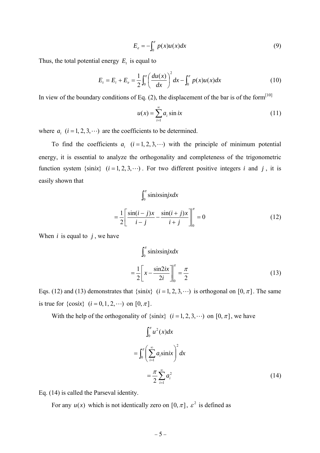$$
E_e = -\int_0^\pi p(x)u(x)dx\tag{9}
$$

Thus, the total potential energy  $E_t$  is equal to

$$
E_t = E_i + E_e = \frac{1}{2} \int_0^{\pi} \left( \frac{du(x)}{dx} \right)^2 dx - \int_0^{\pi} p(x)u(x)dx
$$
 (10)

In view of the boundary conditions of Eq.  $(2)$ , the displacement of the bar is of the form<sup>[10]</sup>

$$
u(x) = \sum_{i=1}^{\infty} a_i \sin ix
$$
 (11)

where  $a_i$  ( $i = 1, 2, 3, \cdots$ ) are the coefficients to be determined.

To find the coefficients  $a_i$   $(i = 1, 2, 3, ...)$  with the principle of minimum potential energy, it is essential to analyze the orthogonality and completeness of the trigonometric function system { $\sin ix$ } ( $i = 1, 2, 3, \cdots$ ). For two different positive integers *i* and *j*, it is easily shown that

$$
\int_0^{\pi} \sin ix \sin jx dx
$$
  
= 
$$
\frac{1}{2} \left[ \frac{\sin(i-j)x}{i-j} - \frac{\sin(i+j)x}{i+j} \right]_0^{\pi} = 0
$$
 (12)

When  $i$  is equal to  $j$ , we have

$$
\int_0^{\pi} \sin ix \sin jx dx
$$
  
=  $\frac{1}{2} \left[ x - \frac{\sin 2ix}{2i} \right]_0^{\pi} = \frac{\pi}{2}$  (13)

Eqs. (12) and (13) demonstrates that  $\{\sin ix\}$  ( $i = 1, 2, 3, \cdots$ ) is orthogonal on  $[0, \pi]$ . The same is true for  $\{cosix \}$   $(i = 0, 1, 2, ...)$  on  $[0, \pi]$ .

With the help of the orthogonality of  $\{\sin ix\}$   $(i = 1, 2, 3, \cdots)$  on  $[0, \pi]$ , we have

$$
\int_0^{\pi} u^2(x) dx
$$
  
= 
$$
\int_0^{\pi} \left( \sum_{i=1}^{\infty} a_i \sin ix \right)^2 dx
$$
  
= 
$$
\frac{\pi}{2} \sum_{i=1}^{\infty} a_i^2
$$
 (14)

Eq. (14) is called the Parseval identity.

For any  $u(x)$  which is not identically zero on  $[0, \pi]$ ,  $\varepsilon^2$  is defined as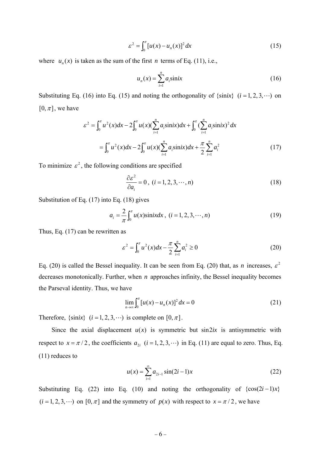$$
\varepsilon^2 = \int_0^{\pi} [u(x) - u_n(x)]^2 dx \tag{15}
$$

where  $u_n(x)$  is taken as the sum of the first *n* terms of Eq. (11), i.e.,

$$
u_n(x) = \sum_{i=1}^n a_i \sin ix \tag{16}
$$

Substituting Eq. (16) into Eq. (15) and noting the orthogonality of  $\{\sin ix\}$  ( $i = 1, 2, 3, \dots$ ) on  $[0, \pi]$ , we have

$$
\varepsilon^{2} = \int_{0}^{\pi} u^{2}(x)dx - 2\int_{0}^{\pi} u(x)(\sum_{i=1}^{n} a_{i}\sin ix)dx + \int_{0}^{\pi} (\sum_{i=1}^{n} a_{i}\sin ix)^{2} dx
$$

$$
= \int_{0}^{\pi} u^{2}(x)dx - 2\int_{0}^{\pi} u(x)(\sum_{i=1}^{n} a_{i}\sin ix)dx + \frac{\pi}{2}\sum_{i=1}^{n} a_{i}^{2}
$$
(17)

To minimize  $\varepsilon^2$ , the following conditions are specified

$$
\frac{\partial \varepsilon^2}{\partial a_i} = 0, \ (i = 1, 2, 3, \cdots, n)
$$
 (18)

Substitution of Eq. (17) into Eq. (18) gives

$$
a_i = \frac{2}{\pi} \int_0^{\pi} u(x) \sinix \, dx \, , \, (i = 1, 2, 3, \cdots, n) \tag{19}
$$

Thus, Eq. (17) can be rewritten as

$$
\varepsilon^2 = \int_0^\pi u^2(x)dx - \frac{\pi}{2} \sum_{i=1}^n a_i^2 \ge 0
$$
 (20)

Eq. (20) is called the Bessel inequality. It can be seen from Eq. (20) that, as *n* increases,  $\varepsilon^2$ decreases monotonically. Further, when *n* approaches infinity, the Bessel inequality becomes the Parseval identity. Thus, we have

$$
\lim_{n \to \infty} \int_0^{\pi} [u(x) - u_n(x)]^2 dx = 0
$$
\n(21)

Therefore,  $\{\sin ix\}$   $(i = 1, 2, 3, ...)$  is complete on  $[0, \pi]$ .

Since the axial displacement  $u(x)$  is symmetric but  $\sin 2ix$  is antisymmetric with respect to  $x = \pi/2$ , the coefficients  $a_{2i}$  ( $i = 1, 2, 3, \cdots$ ) in Eq. (11) are equal to zero. Thus, Eq. (11) reduces to

$$
u(x) = \sum_{i=1}^{\infty} a_{2i-1} \sin(2i-1)x
$$
 (22)

Substituting Eq. (22) into Eq. (10) and noting the orthogonality of  $\{\cos(2i-1)x\}$  $(i = 1, 2, 3, ...)$  on  $[0, \pi]$  and the symmetry of  $p(x)$  with respect to  $x = \pi/2$ , we have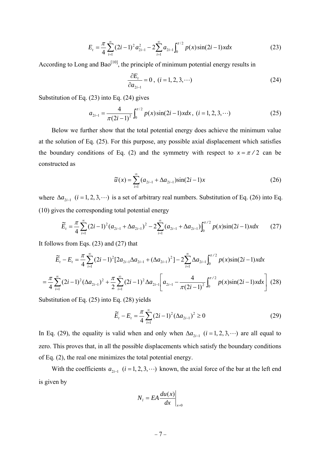$$
E_{t} = \frac{\pi}{4} \sum_{i=1}^{\infty} (2i-1)^{2} a_{2i-1}^{2} - 2 \sum_{i=1}^{\infty} a_{2i-1} \int_{0}^{\pi/2} p(x) \sin(2i-1)x dx
$$
 (23)

According to Long and Bao<sup>[10]</sup>, the principle of minimum potential energy results in

$$
\frac{\partial E_t}{\partial a_{2i-1}} = 0, \ (i = 1, 2, 3, \cdots) \tag{24}
$$

Substitution of Eq. (23) into Eq. (24) gives

$$
a_{2i-1} = \frac{4}{\pi(2i-1)^2} \int_0^{\pi/2} p(x) \sin(2i-1)x dx, \ (i = 1, 2, 3, \cdots)
$$
 (25)

Below we further show that the total potential energy does achieve the minimum value at the solution of Eq. (25). For this purpose, any possible axial displacement which satisfies the boundary conditions of Eq. (2) and the symmetry with respect to  $x = \pi/2$  can be constructed as

$$
\widetilde{u}(x) = \sum_{i=1}^{\infty} (a_{2i-1} + \Delta a_{2i-1}) \sin(2i-1)x
$$
 (26)

where  $\Delta a_{2i-1}$  ( $i = 1, 2, 3, \cdots$ ) is a set of arbitrary real numbers. Substitution of Eq. (26) into Eq. (10) gives the corresponding total potential energy

$$
\widetilde{E}_t = \frac{\pi}{4} \sum_{i=1}^{\infty} (2i-1)^2 (a_{2i-1} + \Delta a_{2i-1})^2 - 2 \sum_{i=1}^{\infty} (a_{2i-1} + \Delta a_{2i-1}) \int_0^{\pi/2} p(x) \sin(2i-1)x dx \tag{27}
$$

It follows from Eqs. (23) and (27) that

$$
\widetilde{E}_{t} - E_{t} = \frac{\pi}{4} \sum_{i=1}^{\infty} (2i-1)^{2} [2a_{2i-1} \Delta a_{2i-1} + (\Delta a_{2i-1})^{2}] - 2 \sum_{i=1}^{\infty} \Delta a_{2i-1} \int_{0}^{\pi/2} p(x) \sin(2i-1)xdx
$$

$$
= \frac{\pi}{4} \sum_{i=1}^{\infty} (2i-1)^{2} (\Delta a_{2i-1})^{2} + \frac{\pi}{2} \sum_{i=1}^{\infty} (2i-1)^{2} \Delta a_{2i-1} \left[ a_{2i-1} - \frac{4}{\pi (2i-1)^{2}} \int_{0}^{\pi/2} p(x) \sin(2i-1)x dx \right] (28)
$$

Substitution of Eq. (25) into Eq. (28) yields

$$
\widetilde{E}_t - E_t = \frac{\pi}{4} \sum_{i=1}^{\infty} (2i - 1)^2 (\Delta a_{2i-1})^2 \ge 0
$$
\n(29)

In Eq. (29), the equality is valid when and only when  $\Delta a_{2i-1}$  ( $i = 1, 2, 3, \cdots$ ) are all equal to zero. This proves that, in all the possible displacements which satisfy the boundary conditions of Eq. (2), the real one minimizes the total potential energy.

With the coefficients  $a_{2i-1}$   $(i = 1, 2, 3, \cdots)$  known, the axial force of the bar at the left end is given by

$$
N_l = EA \frac{du(x)}{dx}\bigg|_{x=0}
$$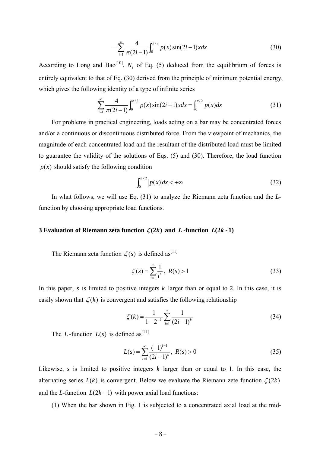$$
= \sum_{i=1}^{\infty} \frac{4}{\pi (2i-1)} \int_0^{\pi/2} p(x) \sin(2i-1)x dx
$$
 (30)

According to Long and Bao<sup>[10]</sup>,  $N_l$  of Eq. (5) deduced from the equilibrium of forces is entirely equivalent to that of Eq. (30) derived from the principle of minimum potential energy, which gives the following identity of a type of infinite series

$$
\sum_{i=1}^{\infty} \frac{4}{\pi (2i-1)} \int_0^{\pi/2} p(x) \sin(2i-1) x dx = \int_0^{\pi/2} p(x) dx \tag{31}
$$

For problems in practical engineering, loads acting on a bar may be concentrated forces and/or a continuous or discontinuous distributed force. From the viewpoint of mechanics, the magnitude of each concentrated load and the resultant of the distributed load must be limited to guarantee the validity of the solutions of Eqs. (5) and (30). Therefore, the load function  $p(x)$  should satisfy the following condition

$$
\int_0^{\pi/2} |p(x)| dx < +\infty \tag{32}
$$

In what follows, we will use Eq. (31) to analyze the Riemann zeta function and the *L*function by choosing appropriate load functions.

#### **3 Evaluation of Riemann zeta function**  $\zeta(2k)$  **and L -function**  $L(2k-1)$

The Riemann zeta function  $\zeta(s)$  is defined as<sup>[11]</sup>

$$
\zeta(s) = \sum_{i=1}^{\infty} \frac{1}{i^s}, \ R(s) > 1
$$
\n(33)

In this paper, *s* is limited to positive integers *k* larger than or equal to 2. In this case, it is easily shown that  $\zeta(k)$  is convergent and satisfies the following relationship

$$
\zeta(k) = \frac{1}{1 - 2^{-k}} \sum_{i=1}^{\infty} \frac{1}{(2i - 1)^k}
$$
 (34)

The *L*-function  $L(s)$  is defined as<sup>[11]</sup>

$$
L(s) = \sum_{i=1}^{\infty} \frac{(-1)^{i-1}}{(2i-1)^s}, \ R(s) > 0
$$
 (35)

Likewise, *s* is limited to positive integers *k* larger than or equal to 1. In this case, the alternating series  $L(k)$  is convergent. Below we evaluate the Riemann zete function  $\zeta(2k)$ and the *L*-function  $L(2k-1)$  with power axial load functions:

(1) When the bar shown in Fig. 1 is subjected to a concentrated axial load at the mid-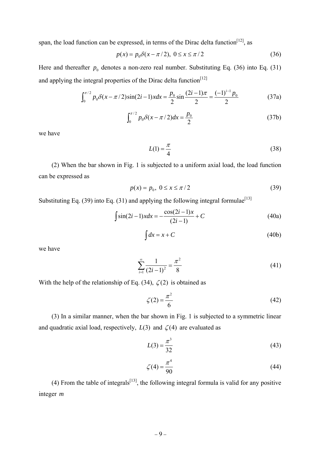span, the load function can be expressed, in terms of the Dirac delta function<sup>[12]</sup>, as

$$
p(x) = p_0 \delta(x - \pi/2), \ 0 \le x \le \pi/2 \tag{36}
$$

Here and thereafter  $p_0$  denotes a non-zero real number. Substituting Eq. (36) into Eq. (31) and applying the integral properties of the Dirac delta function $[12]$ 

$$
\int_0^{\pi/2} p_0 \delta(x - \pi/2) \sin(2i - 1) x dx = \frac{p_0}{2} \sin \frac{(2i - 1)\pi}{2} = \frac{(-1)^{i - 1} p_0}{2}
$$
(37a)

$$
\int_0^{\pi/2} p_0 \delta(x - \pi/2) dx = \frac{p_0}{2}
$$
 (37b)

we have

$$
L(1) = \frac{\pi}{4} \tag{38}
$$

(2) When the bar shown in Fig. 1 is subjected to a uniform axial load, the load function can be expressed as

$$
p(x) = p_0, \ 0 \le x \le \pi/2 \tag{39}
$$

Substituting Eq. (39) into Eq. (31) and applying the following integral formulae<sup>[13]</sup>

$$
\int \sin(2i - 1)x dx = -\frac{\cos(2i - 1)x}{(2i - 1)} + C
$$
 (40a)

$$
\int dx = x + C \tag{40b}
$$

we have

$$
\sum_{i=1}^{\infty} \frac{1}{(2i-1)^2} = \frac{\pi^2}{8}
$$
 (41)

With the help of the relationship of Eq. (34),  $\zeta(2)$  is obtained as

$$
\zeta(2) = \frac{\pi^2}{6} \tag{42}
$$

(3) In a similar manner, when the bar shown in Fig. 1 is subjected to a symmetric linear and quadratic axial load, respectively,  $L(3)$  and  $\zeta(4)$  are evaluated as

$$
L(3) = \frac{\pi^3}{32} \tag{43}
$$

$$
\zeta(4) = \frac{\pi^4}{90} \tag{44}
$$

(4) From the table of integrals<sup>[13]</sup>, the following integral formula is valid for any positive integer *m*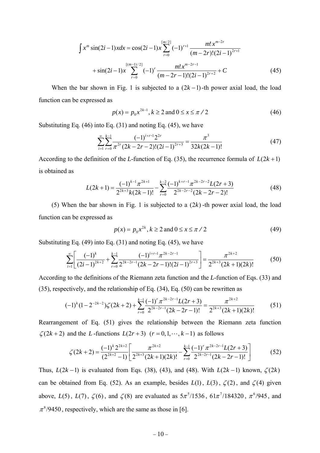$$
\int x^m \sin(2i-1)x dx = \cos(2i-1)x \sum_{r=0}^{\lfloor m/2 \rfloor} (-1)^{r+1} \frac{m! x^{m-2r}}{(m-2r)!(2i-1)^{2r+1}} + \sin(2i-1)x \sum_{r=0}^{\lfloor (m-1)/2 \rfloor} (-1)^r \frac{m! x^{m-2r-1}}{(m-2r-1)!(2i-1)^{2r+2}} + C
$$
 (45)

When the bar shown in Fig. 1 is subjected to a  $(2k - 1)$ -th power axial load, the load function can be expressed as

$$
p(x) = p_0 x^{2k-1}, k \ge 2 \text{ and } 0 \le x \le \pi / 2
$$
 (46)

Substituting Eq. (46) into Eq. (31) and noting Eq. (45), we have

$$
\sum_{i=1}^{\infty} \sum_{r=0}^{k-1} \frac{(-1)^{i+r-1} 2^{2r}}{\pi^{2r} (2k-2r-2)! (2i-1)^{2r+3}} = \frac{\pi^3}{32k(2k-1)!}
$$
(47)

According to the definition of the *L*-function of Eq. (35), the recurrence formula of  $L(2k+1)$ is obtained as

$$
L(2k+1) = \frac{(-1)^{k-1}\pi^{2k+1}}{2^{2k+3}k(2k-1)!} - \sum_{r=0}^{k-2} \frac{(-1)^{k+r-1}\pi^{2k-2r-2}L(2r+3)}{2^{2k-2r-2}(2k-2r-2)!}
$$
(48)

(5) When the bar shown in Fig. 1 is subjected to a  $(2k)$  -th power axial load, the load function can be expressed as

$$
p(x) = p_0 x^{2k}, k \ge 2 \text{ and } 0 \le x \le \pi / 2
$$
 (49)

Substituting Eq. (49) into Eq. (31) and noting Eq. (45), we have

$$
\sum_{i=1}^{\infty} \left[ \frac{(-1)^k}{(2i-1)^{2k+2}} + \sum_{r=0}^{k-1} \frac{(-1)^{i+r-1} \pi^{2k-2r-1}}{2^{2k-2r-1} (2k-2r-1)! (2i-1)^{2r+3}} \right] = \frac{\pi^{2k+2}}{2^{2k+3} (2k+1) (2k)!}
$$
(50)

According to the definitions of the Riemann zeta function and the *L*-function of Eqs. (33) and (35), respectively, and the relationship of Eq. (34), Eq. (50) can be rewritten as

$$
(-1)^{k} (1 - 2^{-2k-2}) \zeta (2k+2) + \sum_{r=0}^{k-1} \frac{(-1)^{r} \pi^{2k-2r-1} L(2r+3)}{2^{2k-2r-1} (2k-2r-1)!} = \frac{\pi^{2k+2}}{2^{2k+3} (2k+1)(2k)!}
$$
(51)

Rearrangement of Eq. (51) gives the relationship between the Riemann zeta function  $\zeta(2k+2)$  and the *L* -functions  $L(2r+3)(r=0,1,\dots,k-1)$  as follows

$$
\zeta(2k+2) = \frac{(-1)^k 2^{2k+2}}{(2^{2k+2}-1)} \left[ \frac{\pi^{2k+2}}{2^{2k+3}(2k+1)(2k)!} - \sum_{r=0}^{k-1} \frac{(-1)^r \pi^{2k-2r-1} L(2r+3)}{2^{2k-2r-1}(2k-2r-1)!} \right]
$$
(52)

Thus,  $L(2k-1)$  is evaluated from Eqs. (38), (43), and (48). With  $L(2k-1)$  known,  $\zeta(2k)$ can be obtained from Eq. (52). As an example, besides  $L(1)$ ,  $L(3)$ ,  $\zeta(2)$ , and  $\zeta(4)$  given above,  $L(5)$ ,  $L(7)$ ,  $\zeta(6)$ , and  $\zeta(8)$  are evaluated as  $5\pi^5/1536$ ,  $61\pi^7/184320$ ,  $\pi^6/945$ , and  $\pi^8/9450$ , respectively, which are the same as those in [6].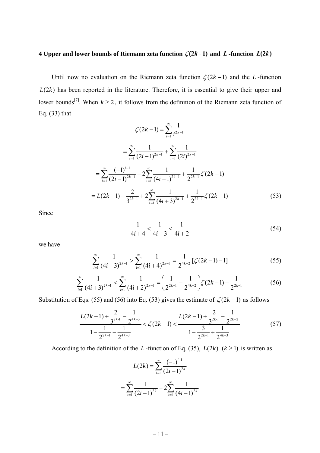## **4 Upper and lower bounds of Riemann zeta function**  $\zeta(2k-1)$  **and** *L* **-function**  $L(2k)$

Until now no evaluation on the Riemann zeta function  $\zeta(2k-1)$  and the *L*-function  $L(2k)$  has been reported in the literature. Therefore, it is essential to give their upper and lower bounds<sup>[7]</sup>. When  $k \ge 2$ , it follows from the definition of the Riemann zeta function of Eq. (33) that

$$
\zeta(2k-1) = \sum_{i=1}^{\infty} \frac{1}{i^{2k-1}}
$$
  
= 
$$
\sum_{i=1}^{\infty} \frac{1}{(2i-1)^{2k-1}} + \sum_{i=1}^{\infty} \frac{1}{(2i)^{2k-1}}
$$
  
= 
$$
\sum_{i=1}^{\infty} \frac{(-1)^{i-1}}{(2i-1)^{2k-1}} + 2 \sum_{i=1}^{\infty} \frac{1}{(4i-1)^{2k-1}} + \frac{1}{2^{2k-1}} \zeta(2k-1)
$$
  
= 
$$
L(2k-1) + \frac{2}{3^{2k-1}} + 2 \sum_{i=1}^{\infty} \frac{1}{(4i+3)^{2k-1}} + \frac{1}{2^{2k-1}} \zeta(2k-1)
$$
(53)

Since

$$
\frac{1}{4i+4} < \frac{1}{4i+3} < \frac{1}{4i+2} \tag{54}
$$

we have

$$
\sum_{i=1}^{\infty} \frac{1}{(4i+3)^{2k-1}} > \sum_{i=1}^{\infty} \frac{1}{(4i+4)^{2k-1}} = \frac{1}{2^{4k-2}} [\zeta(2k-1)-1]
$$
(55)

$$
\sum_{i=1}^{\infty} \frac{1}{(4i+3)^{2k-1}} < \sum_{i=1}^{\infty} \frac{1}{(4i+2)^{2k-1}} = \left(\frac{1}{2^{2k-1}} - \frac{1}{2^{4k-2}}\right) \zeta(2k-1) - \frac{1}{2^{2k-1}}
$$
(56)

Substitution of Eqs. (55) and (56) into Eq. (53) gives the estimate of  $\zeta(2k-1)$  as follows

$$
\frac{L(2k-1)+\frac{2}{3^{2k-1}}-\frac{1}{2^{4k-3}}}{1-\frac{1}{2^{2k-1}}-\frac{1}{2^{4k-3}}} < \zeta(2k-1) < \frac{L(2k-1)+\frac{2}{3^{2k-1}}-\frac{1}{2^{2k-2}}}{1-\frac{3}{2^{2k-1}}+\frac{1}{2^{4k-3}}}
$$
(57)

According to the definition of the *L*-function of Eq. (35),  $L(2k)$  ( $k \ge 1$ ) is written as

$$
L(2k) = \sum_{i=1}^{\infty} \frac{(-1)^{i-1}}{(2i-1)^{2k}}
$$

$$
= \sum_{i=1}^{\infty} \frac{1}{(2i-1)^{2k}} - 2\sum_{i=1}^{\infty} \frac{1}{(4i-1)^{2k}}
$$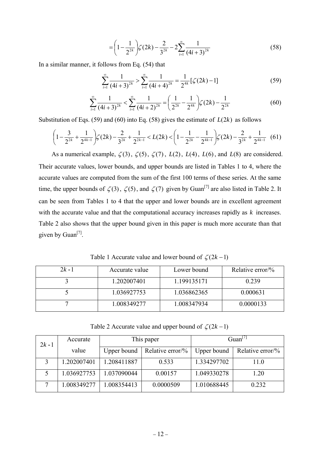$$
= \left(1 - \frac{1}{2^{2k}}\right) \zeta(2k) - \frac{2}{3^{2k}} - 2\sum_{i=1}^{\infty} \frac{1}{(4i+3)^{2k}} \tag{58}
$$

In a similar manner, it follows from Eq. (54) that

$$
\sum_{i=1}^{\infty} \frac{1}{(4i+3)^{2k}} > \sum_{i=1}^{\infty} \frac{1}{(4i+4)^{2k}} = \frac{1}{2^{4k}} [\zeta(2k) - 1]
$$
 (59)

$$
\sum_{i=1}^{\infty} \frac{1}{(4i+3)^{2k}} < \sum_{i=1}^{\infty} \frac{1}{(4i+2)^{2k}} = \left(\frac{1}{2^{2k}} - \frac{1}{2^{4k}}\right) \zeta(2k) - \frac{1}{2^{2k}}\tag{60}
$$

Substitution of Eqs. (59) and (60) into Eq. (58) gives the estimate of  $L(2k)$  as follows

$$
\left(1-\frac{3}{2^{2k}}+\frac{1}{2^{4k-1}}\right)\zeta(2k)-\frac{2}{3^{2k}}+\frac{1}{2^{2k-1}} < L(2k) < \left(1-\frac{1}{2^{2k}}-\frac{1}{2^{4k-1}}\right)\zeta(2k)-\frac{2}{3^{2k}}+\frac{1}{2^{4k-1}}\tag{61}
$$

As a numerical example,  $\zeta(3)$ ,  $\zeta(5)$ ,  $\zeta(7)$ ,  $L(2)$ ,  $L(4)$ ,  $L(6)$ , and  $L(8)$  are considered. Their accurate values, lower bounds, and upper bounds are listed in Tables 1 to 4, where the accurate values are computed from the sum of the first 100 terms of these series. At the same time, the upper bounds of  $\zeta(3)$ ,  $\zeta(5)$ , and  $\zeta(7)$  given by Guan<sup>[7]</sup> are also listed in Table 2. It can be seen from Tables 1 to 4 that the upper and lower bounds are in excellent agreement with the accurate value and that the computational accuracy increases rapidly as *k* increases. Table 2 also shows that the upper bound given in this paper is much more accurate than that given by Guan<sup>[7]</sup>.

| $2k - 1$ | Accurate value | Lower bound | Relative error/% |
|----------|----------------|-------------|------------------|
|          | 1.202007401    | 1.199135171 | 0.239            |
|          | 1.036927753    | 1.036862365 | 0.000631         |
|          | 1.008349277    | 1.008347934 | 0.0000133        |

Table 1 Accurate value and lower bound of  $\zeta(2k-1)$ 

Table 2 Accurate value and upper bound of  $\zeta(2k-1)$ 

| $2k - 1$ | Accurate    | This paper  |                  | $Guan^{\iota'}$ |                  |
|----------|-------------|-------------|------------------|-----------------|------------------|
|          | value       | Upper bound | Relative error/% | Upper bound     | Relative error/% |
| 3        | 1.202007401 | 1.208411887 | 0.533            | 1.334297702     | 11.0             |
|          | 1.036927753 | 1.037090044 | 0.00157          | 1.049330278     | 1.20             |
|          | 1.008349277 | 1.008354413 | 0.0000509        | 1.010688445     | 0.232            |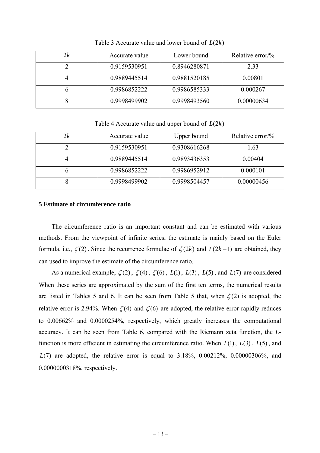| 2k | Accurate value | Lower bound  | Relative error/ $\%$ |
|----|----------------|--------------|----------------------|
|    | 0.9159530951   | 0.8946280871 | 2 3 3                |
|    | 0.9889445514   | 0.9881520185 | 0.00801              |
|    | 0.9986852222   | 0.9986585333 | 0.000267             |
|    | 0.9998499902   | 0.9998493560 | 0.00000634           |

Table 3 Accurate value and lower bound of  $L(2k)$ 

Table 4 Accurate value and upper bound of  $L(2k)$ 

| 2k | Accurate value | Upper bound  | Relative error/% |
|----|----------------|--------------|------------------|
|    | 0.9159530951   | 0.9308616268 | 1.63             |
|    | 0.9889445514   | 0.9893436353 | 0.00404          |
|    | 0.9986852222   | 0.9986952912 | 0.000101         |
|    | 0.9998499902   | 0.9998504457 | 0.00000456       |

#### **5 Estimate of circumference ratio**

The circumference ratio is an important constant and can be estimated with various methods. From the viewpoint of infinite series, the estimate is mainly based on the Euler formula, i.e.,  $\zeta(2)$ . Since the recurrence formulae of  $\zeta(2k)$  and  $L(2k-1)$  are obtained, they can used to improve the estimate of the circumference ratio.

As a numerical example,  $\zeta(2)$ ,  $\zeta(4)$ ,  $\zeta(6)$ ,  $L(1)$ ,  $L(3)$ ,  $L(5)$ , and  $L(7)$  are considered. When these series are approximated by the sum of the first ten terms, the numerical results are listed in Tables 5 and 6. It can be seen from Table 5 that, when  $\zeta(2)$  is adopted, the relative error is 2.94%. When  $\zeta(4)$  and  $\zeta(6)$  are adopted, the relative error rapidly reduces to 0.00662% and 0.0000254%, respectively, which greatly increases the computational accuracy. It can be seen from Table 6, compared with the Riemann zeta function, the *L*function is more efficient in estimating the circumference ratio. When  $L(1)$ ,  $L(3)$ ,  $L(5)$ , and  $L(7)$  are adopted, the relative error is equal to  $3.18\%$ ,  $0.00212\%$ ,  $0.00000306\%$ , and 0.0000000318%, respectively.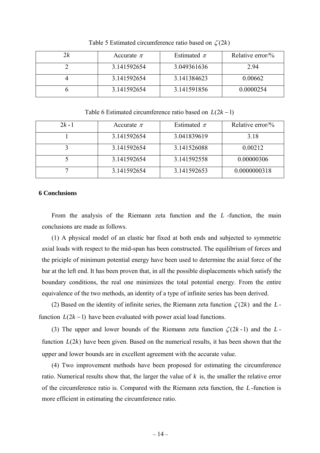| 2k | Accurate $\pi$ | Estimated $\pi$ | Relative error/% |
|----|----------------|-----------------|------------------|
|    | 3.141592654    | 3.049361636     | 294              |
|    | 3.141592654    | 3.141384623     | 0.00662          |
|    | 3.141592654    | 3.141591856     | 0.0000254        |

Table 5 Estimated circumference ratio based on  $\zeta(2k)$ 

| Table of Estimated encumentative ratio based on $E(ZK = I)$ |                |                 |                      |
|-------------------------------------------------------------|----------------|-----------------|----------------------|
| $2k - 1$                                                    | Accurate $\pi$ | Estimated $\pi$ | Relative error/ $\%$ |
|                                                             | 3.141592654    | 3.041839619     | 3.18                 |
|                                                             | 3.141592654    | 3.141526088     | 0.00212              |
|                                                             | 3.141592654    | 3.141592558     | 0.00000306           |
|                                                             | 3.141592654    | 3.141592653     | 0.0000000318         |

Table 6 Estimated circumference ratio based on  $I(2k-1)$ 

#### **6 Conclusions**

From the analysis of the Riemann zeta function and the *L* -function, the main conclusions are made as follows.

(1) A physical model of an elastic bar fixed at both ends and subjected to symmetric axial loads with respect to the mid-span has been constructed. The equilibrium of forces and the priciple of minimum potential energy have been used to determine the axial force of the bar at the left end. It has been proven that, in all the possible displacements which satisfy the boundary conditions, the real one minimizes the total potential energy. From the entire equivalence of the two methods, an identity of a type of infinite series has been derived.

(2) Based on the identity of infinite series, the Riemann zeta function  $\zeta(2k)$  and the *L*function  $L(2k-1)$  have been evaluated with power axial load functions.

(3) The upper and lower bounds of the Riemann zeta function  $\zeta(2k-1)$  and the *L*function  $L(2k)$  have been given. Based on the numerical results, it has been shown that the upper and lower bounds are in excellent agreement with the accurate value.

(4) Two improvement methods have been proposed for estimating the circumference ratio. Numerical results show that, the larger the value of *k* is, the smaller the relative error of the circumference ratio is. Compared with the Riemann zeta function, the *L* -function is more efficient in estimating the circumference ratio.